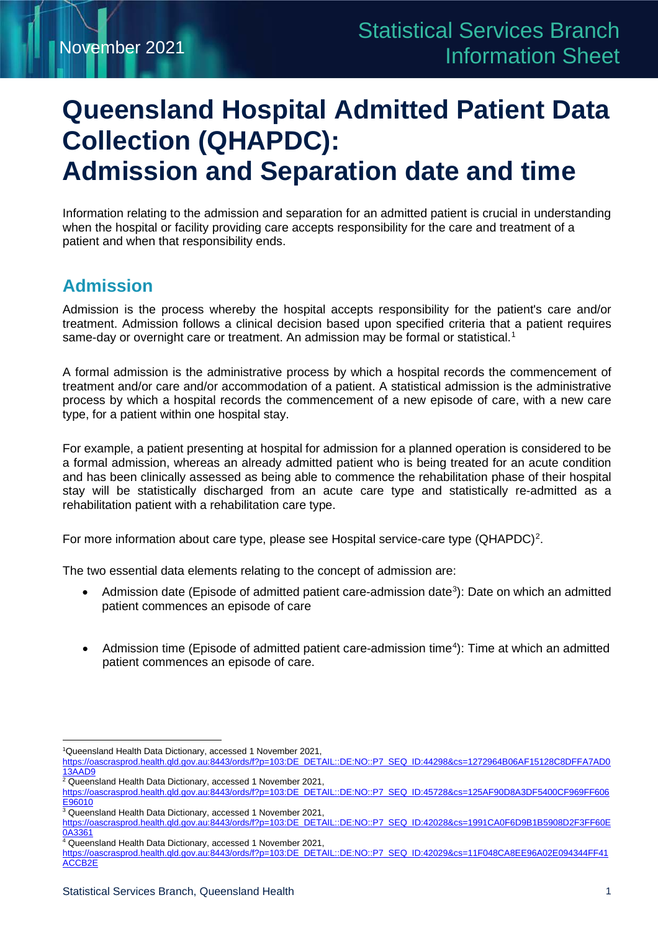# **Queensland Hospital Admitted Patient Data Collection (QHAPDC): Admission and Separation date and time**

Information relating to the admission and separation for an admitted patient is crucial in understanding when the hospital or facility providing care accepts responsibility for the care and treatment of a patient and when that responsibility ends.

### **Admission**

Admission is the process whereby the hospital accepts responsibility for the patient's care and/or treatment. Admission follows a clinical decision based upon specified criteria that a patient requires same-day or overnight care or treatment. An admission may be formal or statistical.<sup>1</sup>

A formal admission is the administrative process by which a hospital records the commencement of treatment and/or care and/or accommodation of a patient. A statistical admission is the administrative process by which a hospital records the commencement of a new episode of care, with a new care type, for a patient within one hospital stay.

For example, a patient presenting at hospital for admission for a planned operation is considered to be a formal admission, whereas an already admitted patient who is being treated for an acute condition and has been clinically assessed as being able to commence the rehabilitation phase of their hospital stay will be statistically discharged from an acute care type and statistically re-admitted as a rehabilitation patient with a rehabilitation care type.

For more information about care type, please see Hospital service-care type (QHAPDC)<sup>[2](#page-0-1)</sup>.

The two essential data elements relating to the concept of admission are:

- Admission date (Episode of admitted patient care-admission date<sup>[3](#page-0-2)</sup>): Date on which an admitted patient commences an episode of care
- Admission time (Episode of admitted patient care-admission time<sup>[4](#page-0-3)</sup>): Time at which an admitted patient commences an episode of care.

<sup>1</sup> Queensland Health Data Dictionary, accessed 1 November 2021,

<span id="page-0-0"></span>https://oascrasprod.health.qld.gov.au:8443/ords/f?p=103:DE\_DETAIL::DE:NO::P7\_SEQ\_ID:44298&cs=1272964B06AF15128C8DFFA7AD0 <u>13AAD9</u>

<span id="page-0-1"></span><sup>2</sup> Queensland Health Data Dictionary, accessed 1 November 2021, https://oascrasprod.health.qld.gov.au:8443/ords/f?p=103:DE\_DETAIL::DE:NO::P7\_SEQ\_ID:45728&cs=125AF90D8A3DF5400CF969FF606 E96010

<span id="page-0-2"></span><sup>&</sup>lt;sup>3</sup> Queensland Health Data Dictionary, accessed 1 November 2021, https://oascrasprod.health.qld.gov.au:8443/ords/f?p=103:DE\_DETAIL::DE:NO::P7\_SEQ\_ID:42028&cs=1991CA0F6D9B1B5908D2F3FF60E 0A3361

<span id="page-0-3"></span><sup>&</sup>lt;sup>4</sup> Queensland Health Data Dictionary, accessed 1 November 2021,

https://oascrasprod.health.qld.gov.au:8443/ords/f?p=103:DE\_DETAIL::DE:NO::P7\_SEQ\_ID:42029&cs=11F048CA8EE96A02E094344FF41 ACCB2E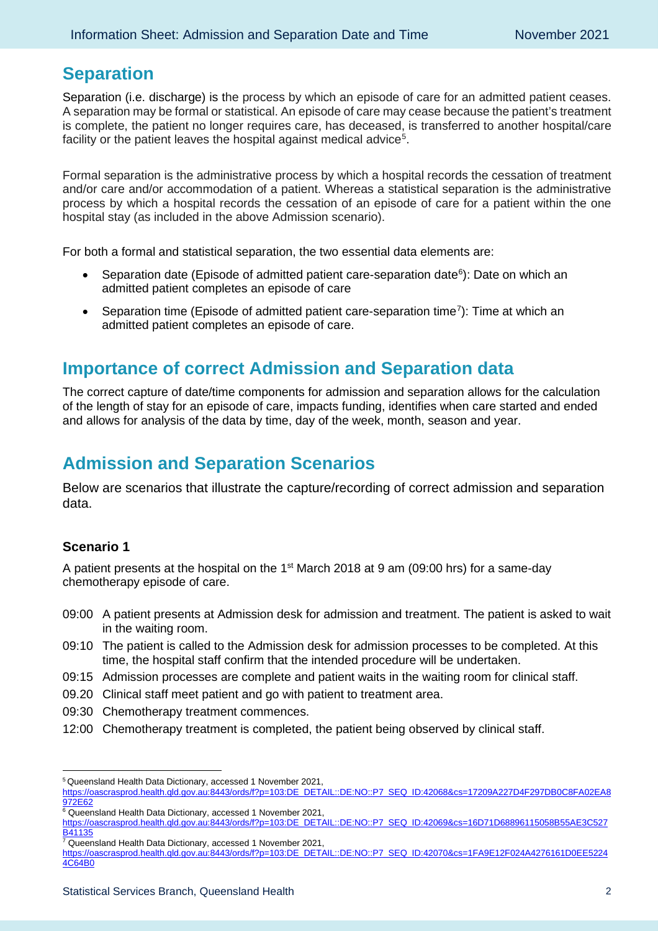### **Separation**

Separation (i.e. discharge) is the process by which an episode of care for an admitted patient ceases. A separation may be formal or statistical. An episode of care may cease because the patient's treatment is complete, the patient no longer requires care, has deceased, is transferred to another hospital/care facility or the patient leaves the hospital against medical advice $^5\!\!$  $^5\!\!$  $^5\!\!$ .

Formal separation is the administrative process by which a hospital records the cessation of treatment and/or care and/or accommodation of a patient. Whereas a statistical separation is the administrative process by which a hospital records the cessation of an episode of care for a patient within the one hospital stay (as included in the above Admission scenario).

For both a formal and statistical separation, the two essential data elements are:

- Separation date (Episode of admitted patient care-separation date $6$ ): Date on which an admitted patient completes an episode of care
- Separation time (Episode of admitted patient care-separation time<sup>[7](#page-1-2)</sup>): Time at which an admitted patient completes an episode of care.

### **Importance of correct Admission and Separation data**

The correct capture of date/time components for admission and separation allows for the calculation of the length of stay for an episode of care, impacts funding, identifies when care started and ended and allows for analysis of the data by time, day of the week, month, season and year.

## **Admission and Separation Scenarios**

Below are scenarios that illustrate the capture/recording of correct admission and separation data.

#### **Scenario 1**

A patient presents at the hospital on the  $1<sup>st</sup>$  March 2018 at 9 am (09:00 hrs) for a same-day chemotherapy episode of care.

- 09:00 A patient presents at Admission desk for admission and treatment. The patient is asked to wait in the waiting room.
- 09:10 The patient is called to the Admission desk for admission processes to be completed. At this time, the hospital staff confirm that the intended procedure will be undertaken.
- 09:15 Admission processes are complete and patient waits in the waiting room for clinical staff.
- 09.20 Clinical staff meet patient and go with patient to treatment area.
- 09:30 Chemotherapy treatment commences.
- 12:00 Chemotherapy treatment is completed, the patient being observed by clinical staff.

<span id="page-1-0"></span><sup>5</sup> Queensland Health Data Dictionary, accessed 1 November 2021,

[https://oascrasprod.health.qld.gov.au:8443/ords/f?p=103:DE\\_DETAIL::DE:NO::P7\\_SEQ\\_ID:42068&cs=17209A227D4F297DB0C8FA02EA8](https://oascrasprod.health.qld.gov.au:8443/ords/f?p=103:DE_DETAIL::DE:NO::P7_SEQ_ID:42068&cs=17209A227D4F297DB0C8FA02EA8972E62) [972E62](https://oascrasprod.health.qld.gov.au:8443/ords/f?p=103:DE_DETAIL::DE:NO::P7_SEQ_ID:42068&cs=17209A227D4F297DB0C8FA02EA8972E62)

<span id="page-1-1"></span><sup>&</sup>lt;sup>6</sup> Queensland Health Data Dictionary, accessed 1 November 2021, https://oascrasprod.health.qld.gov.au:8443/ords/f?p=103:DE\_DETAIL::DE:NO::P7\_SEQ\_ID:42069&cs=16D71D68896115058B55AE3C527 B41135

<span id="page-1-2"></span><sup>7</sup> Queensland Health Data Dictionary, accessed 1 November 2021,

https://oascrasprod.health.qld.gov.au:8443/ords/f?p=103:DE\_DETAIL::DE:NO::P7\_SEQ\_ID:42070&cs=1FA9E12F024A4276161D0EE5224 4C64B0